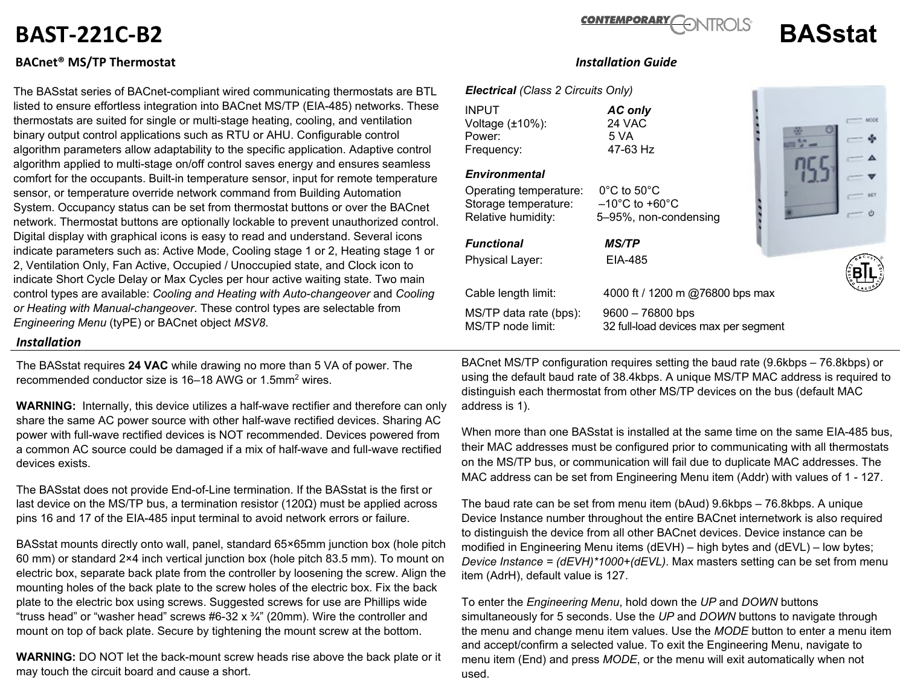# **BAST-221C-B2 BASstat**

## **BACnet® MS/TP Thermostat** *Installation Guide*

The BASstat series of BACnet-compliant wired communicating thermostats are BTL listed to ensure effortless integration into BACnet MS/TP (EIA-485) networks. These thermostats are suited for single or multi-stage heating, cooling, and ventilation binary output control applications such as RTU or AHU. Configurable control algorithm parameters allow adaptability to the specific application. Adaptive control algorithm applied to multi-stage on/off control saves energy and ensures seamless comfort for the occupants. Built-in temperature sensor, input for remote temperature sensor, or temperature override network command from Building Automation System. Occupancy status can be set from thermostat buttons or over the BACnet network. Thermostat buttons are optionally lockable to prevent unauthorized control. Digital display with graphical icons is easy to read and understand. Several icons indicate parameters such as: Active Mode, Cooling stage 1 or 2, Heating stage 1 or 2, Ventilation Only, Fan Active, Occupied / Unoccupied state, and Clock icon to indicate Short Cycle Delay or Max Cycles per hour active waiting state. Two main control types are available: *Cooling and Heating with Auto-changeover* and *Cooling or Heating with Manual-changeover*. These control types are selectable from *Engineering Menu* (tyPE) or BACnet object *MSV8*.

#### *Installation*

The BASstat requires **24 VAC** while drawing no more than 5 VA of power. The recommended conductor size is 16–18 AWG or 1.5mm2 wires.

**WARNING:** Internally, this device utilizes a half-wave rectifier and therefore can only share the same AC power source with other half-wave rectified devices. Sharing AC power with full-wave rectified devices is NOT recommended. Devices powered from a common AC source could be damaged if a mix of half-wave and full-wave rectified devices exists.

The BASstat does not provide End-of-Line termination. If the BASstat is the first or last device on the MS/TP bus, a termination resistor (120 $\Omega$ ) must be applied across pins 16 and 17 of the EIA-485 input terminal to avoid network errors or failure.

BASstat mounts directly onto wall, panel, standard 65×65mm junction box (hole pitch 60 mm) or standard 2×4 inch vertical junction box (hole pitch 83.5 mm). To mount on electric box, separate back plate from the controller by loosening the screw. Align the mounting holes of the back plate to the screw holes of the electric box. Fix the back plate to the electric box using screws. Suggested screws for use are Phillips wide "truss head" or "washer head" screws  $#6-32 \times \frac{3}{4}$ " (20mm). Wire the controller and mount on top of back plate. Secure by tightening the mount screw at the bottom.

**WARNING:** DO NOT let the back-mount screw heads rise above the back plate or it may touch the circuit board and cause a short.

### *Electrical (Class 2 Circuits Only)*

INPUT *AC only*  Voltage (±10%): 24 VAC Power: 5 VA<br>Frequency: 6 17-63 Hz Frequency:

#### *Environmental*

Operating temperature: 0°C to 50°C Storage temperature: –10°C to +60°C Relative humidity: 5–95%, non-condensing

*Functional MS/TP* Physical Layer: EIA-485

MS/TP data rate (bps): 9600 – 76800 bps<br>MS/TP node limit: 32 full-load devices

Cable length limit: 4000 ft / 1200 m @76800 bps max 32 full-load devices max per segment

BACnet MS/TP configuration requires setting the baud rate (9.6kbps – 76.8kbps) or using the default baud rate of 38.4kbps. A unique MS/TP MAC address is required to distinguish each thermostat from other MS/TP devices on the bus (default MAC address is 1).

When more than one BASstat is installed at the same time on the same EIA-485 bus, their MAC addresses must be configured prior to communicating with all thermostats on the MS/TP bus, or communication will fail due to duplicate MAC addresses. The MAC address can be set from Engineering Menu item (Addr) with values of 1 - 127.

The baud rate can be set from menu item (bAud) 9.6kbps – 76.8kbps. A unique Device Instance number throughout the entire BACnet internetwork is also required to distinguish the device from all other BACnet devices. Device instance can be modified in Engineering Menu items (dEVH) – high bytes and (dEVL) – low bytes; *Device Instance = (dEVH)\*1000+(dEVL)*. Max masters setting can be set from menu item (AdrH), default value is 127.

To enter the *Engineering Menu*, hold down the *UP* and *DOWN* buttons simultaneously for 5 seconds. Use the *UP* and *DOWN* buttons to navigate through the menu and change menu item values. Use the *MODE* button to enter a menu item and accept/confirm a selected value. To exit the Engineering Menu, navigate to menu item (End) and press *MODE*, or the menu will exit automatically when not used.





 $woot$ 

**CONTEMPORARY**